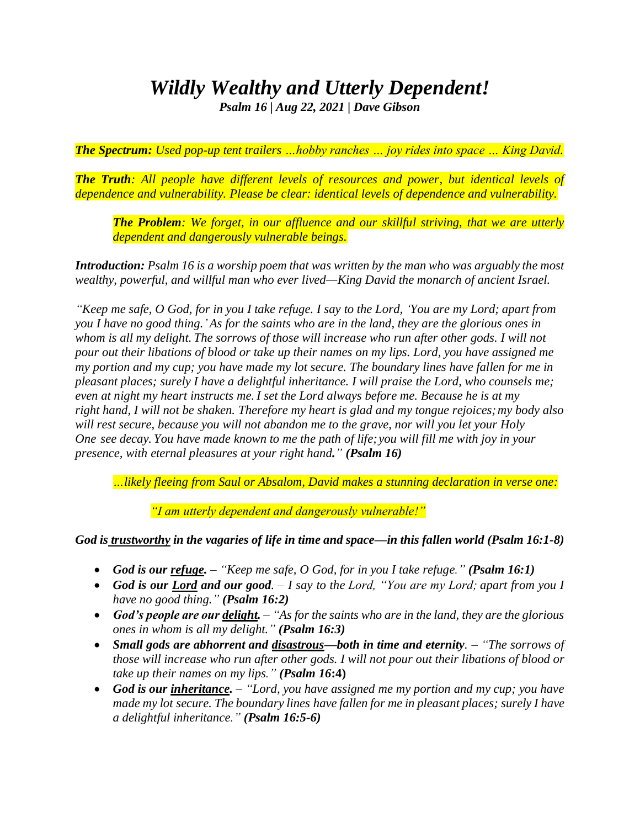## *Wildly Wealthy and Utterly Dependent!*

*Psalm 16 | Aug 22, 2021 | Dave Gibson* 

*The Spectrum: Used pop-up tent trailers …hobby ranches … joy rides into space … King David.*

*The Truth: All people have different levels of resources and power, but identical levels of dependence and vulnerability. Please be clear: identical levels of dependence and vulnerability.*

*The Problem: We forget, in our affluence and our skillful striving, that we are utterly dependent and dangerously vulnerable beings.*

*Introduction: Psalm 16 is a worship poem that was written by the man who was arguably the most wealthy, powerful, and willful man who ever lived—King David the monarch of ancient Israel.*

*"Keep me safe, O God, for in you I take refuge. I say to the Lord, 'You are my Lord; apart from you I have no good thing.' As for the saints who are in the land, they are the glorious ones in whom is all my delight. The sorrows of those will increase who run after other gods. I will not pour out their libations of blood or take up their names on my lips. Lord, you have assigned me my portion and my cup; you have made my lot secure. The boundary lines have fallen for me in pleasant places; surely I have a delightful inheritance. I will praise the Lord, who counsels me; even at night my heart instructs me. I set the Lord always before me. Because he is at my right hand, I will not be shaken. Therefore my heart is glad and my tongue rejoices;my body also will rest secure, because you will not abandon me to the grave, nor will you let your Holy One see decay. You have made known to me the path of life;you will fill me with joy in your presence, with eternal pleasures at your right hand." (Psalm 16)*

*…likely fleeing from Saul or Absalom, David makes a stunning declaration in verse one:*

*"I am utterly dependent and dangerously vulnerable!"*

*God is trustworthy in the vagaries of life in time and space—in this fallen world (Psalm 16:1-8)*

- *God is our refuge. – "Keep me safe, O God, for in you I take refuge." (Psalm 16:1)*
- *God is our Lord and our good. – I say to the Lord, "You are my Lord; apart from you I have no good thing." (Psalm 16:2)*
- *God's people are our delight. – "As for the saints who are in the land, they are the glorious ones in whom is all my delight." (Psalm 16:3)*
- *Small gods are abhorrent and disastrous—both in time and eternity. – "The sorrows of those will increase who run after other gods. I will not pour out their libations of blood or take up their names on my lips." (Psalm 16***:4)**
- *God is our inheritance. – "Lord, you have assigned me my portion and my cup; you have made my lot secure. The boundary lines have fallen for me in pleasant places; surely I have a delightful inheritance." (Psalm 16:5-6)*